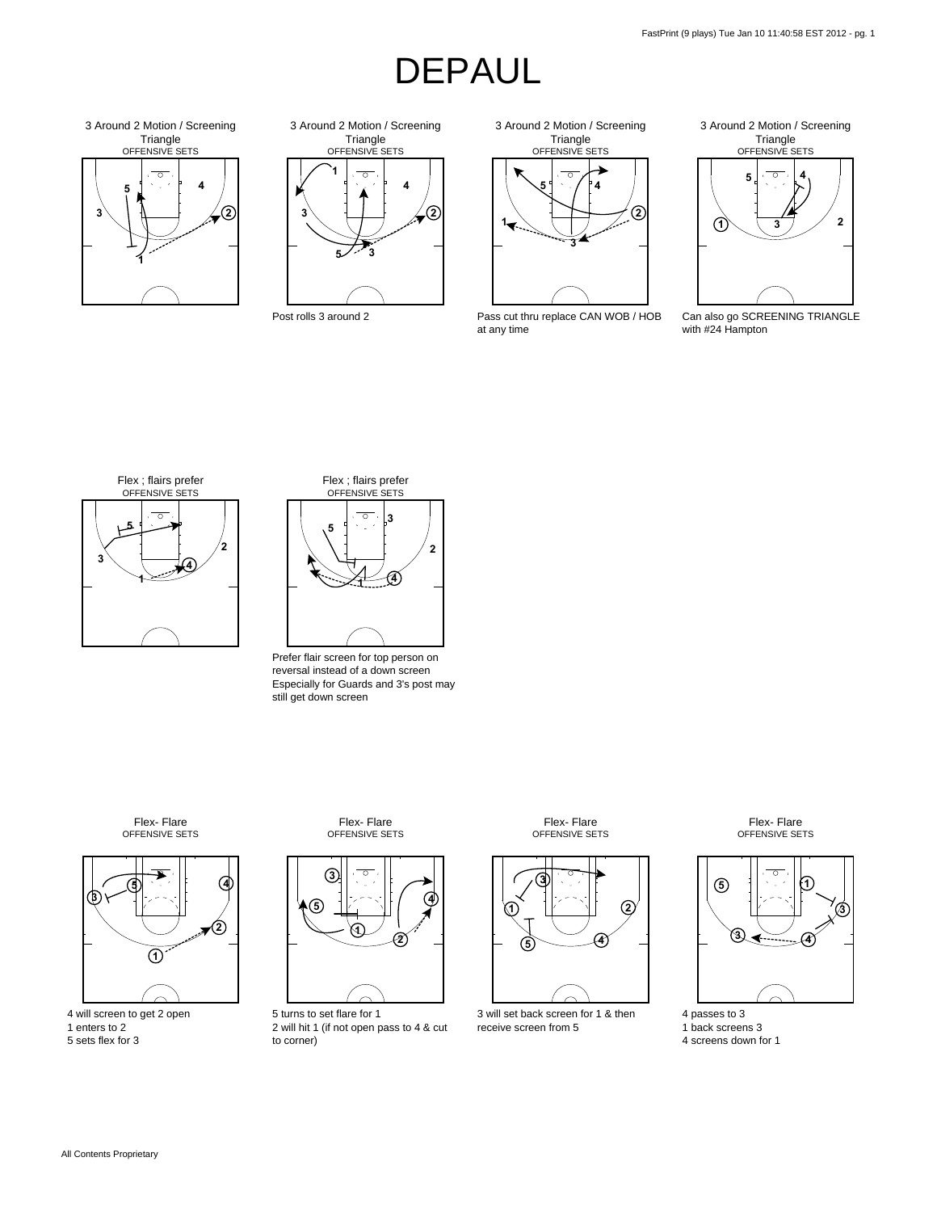



Triangle<br>OFFENSIVE SETS Around 2 Motion / Screening



Pass cut thru replace CAN WOB / HOB at any time



Can also go SCREENING TRIANGLE with #24 Hampton





Prefer flair screen for top person on reversal instead of a down screen Especially for Guards and 3's post may still get down screen

OFFENSIVE SETS Flex- Flare



 will screen to get 2 open enters to 2 sets flex for 3

OFFENSIVE SETS Flex- Flare



 turns to set flare for 1 will hit 1 (if not open pass to 4 & cut to corner)

OFFENSIVE SETS Flex- Flare



 will set back screen for 1 & then receive screen from 5

 back screens 3 screens down for 1

passes to 3

OFFENSIVE SETS Flex- Flare



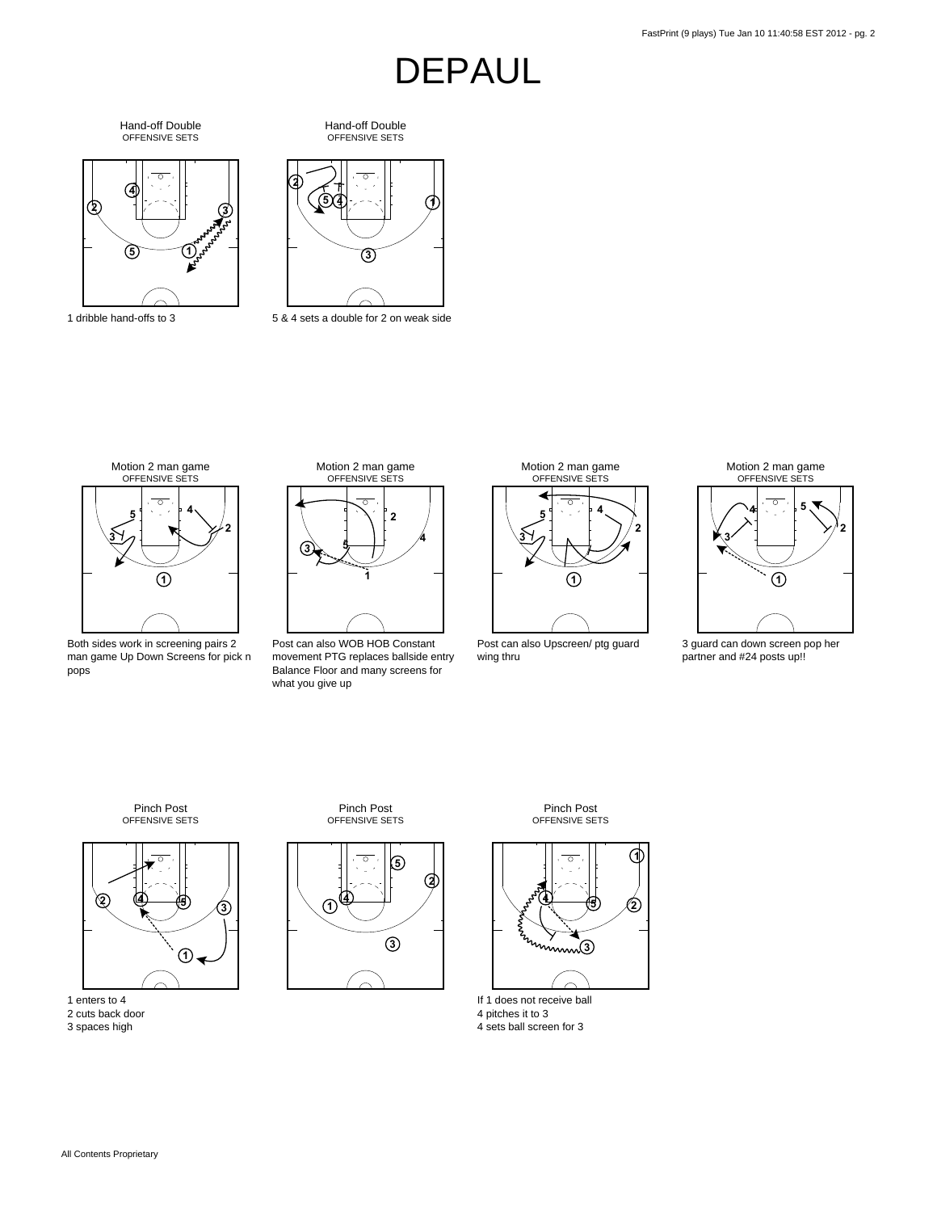OFFENSIVE SETS Hand-off Double



dribble hand-offs to 3

OFFENSIVE SETS Hand-off Double



& 4 sets a double for 2 on weak side



Both sides work in screening pairs 2 man game Up Down Screens for pick n pops



Post can also WOB HOB Constant movement PTG replaces ballside entry Balance Floor and many screens for what you give up



Post can also Upscreen/ ptg guard wing thru



 guard can down screen pop her partner and #24 posts up!!

OFFENSIVE SETS Pinch Post



enters to 4

- cuts back door
- spaces high





OFFENSIVE SETS Pinch Post



If 1 does not receive ball pitches it to 3

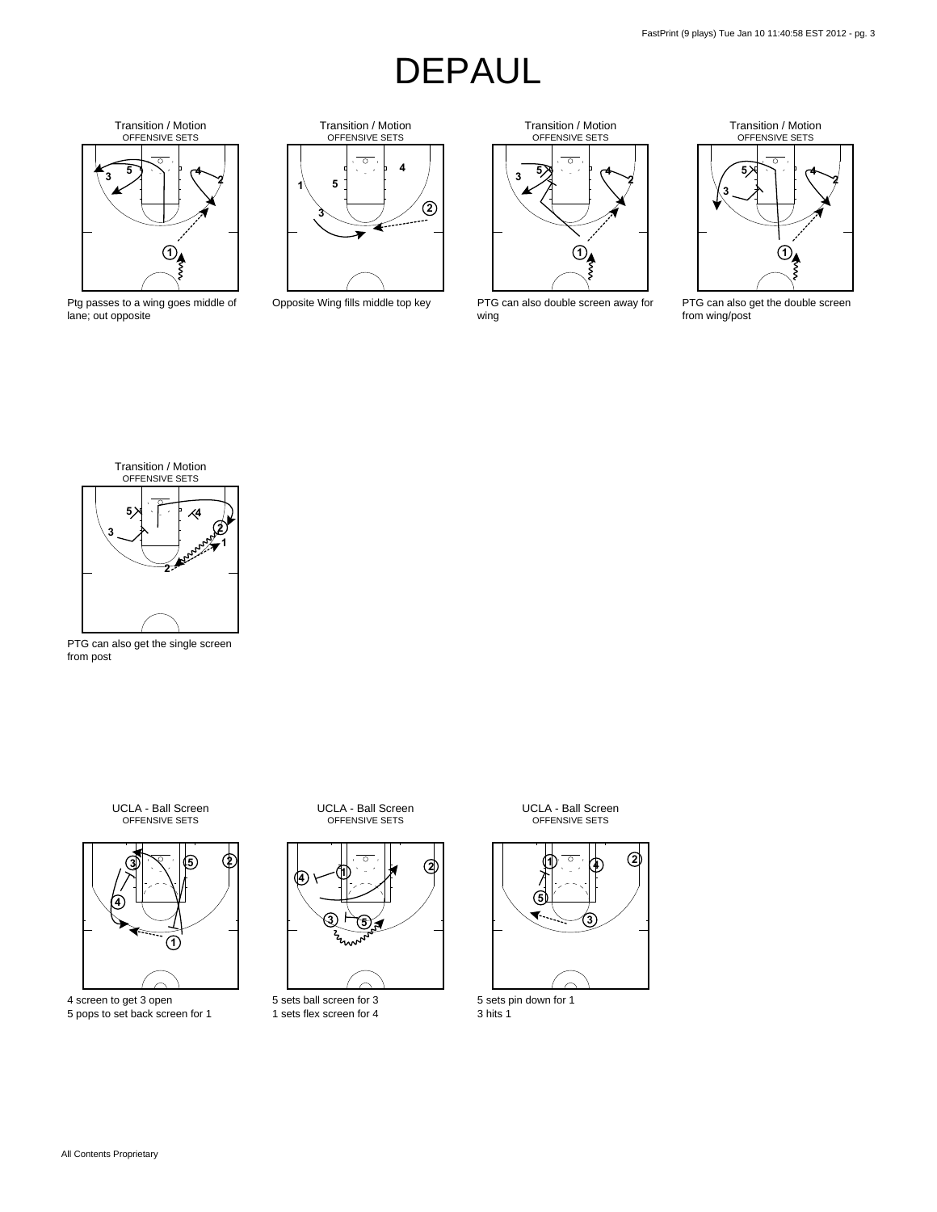

Ptg passes to a wing goes middle of lane; out opposite



Opposite Wing fills middle top key

Transition / Motion OFFENSIVE SETS  $\overline{\circ}$ **5 4 3 2 1** ξ

PTG can also double screen away for wing



PTG can also get the double screen from wing/post



PTG can also get the single screen from post

OFFENSIVE SETS UCLA - Ball Screen



4 screen to get 3 open 5 pops to set back screen for 1

OFFENSIVE SETS UCLA - Ball Screen



5 sets ball screen for 3 1 sets flex screen for 4

OFFENSIVE SETS UCLA - Ball Screen



5 sets pin down for 1 3 hits 1